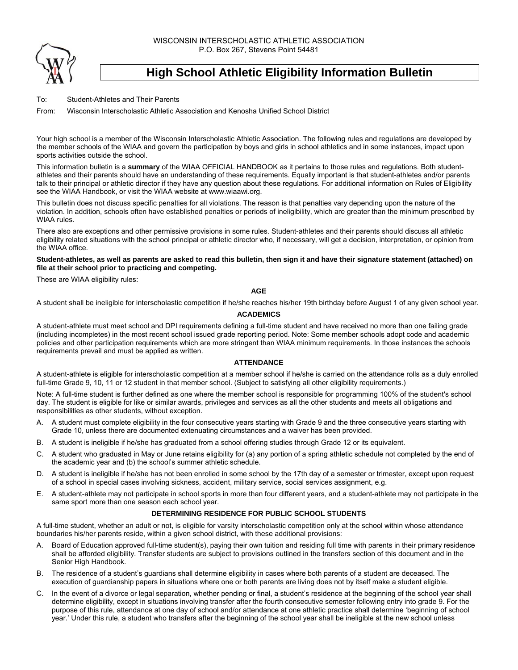WISCONSIN INTERSCHOLASTIC ATHLETIC ASSOCIATION P.O. Box 267, Stevens Point 54481



# **High School Athletic Eligibility Information Bulletin**

To: Student-Athletes and Their Parents

From: Wisconsin Interscholastic Athletic Association and Kenosha Unified School District

Your high school is a member of the Wisconsin Interscholastic Athletic Association. The following rules and regulations are developed by the member schools of the WIAA and govern the participation by boys and girls in school athletics and in some instances, impact upon sports activities outside the school.

This information bulletin is a **summary** of the WIAA OFFICIAL HANDBOOK as it pertains to those rules and regulations. Both studentathletes and their parents should have an understanding of these requirements. Equally important is that student-athletes and/or parents talk to their principal or athletic director if they have any question about these regulations. For additional information on Rules of Eligibility see the WIAA Handbook, or visit the WIAA website at www.wiaawi.org.

This bulletin does not discuss specific penalties for all violations. The reason is that penalties vary depending upon the nature of the violation. In addition, schools often have established penalties or periods of ineligibility, which are greater than the minimum prescribed by WIAA rules.

There also are exceptions and other permissive provisions in some rules. Student-athletes and their parents should discuss all athletic eligibility related situations with the school principal or athletic director who, if necessary, will get a decision, interpretation, or opinion from the WIAA office.

## **Student-athletes, as well as parents are asked to read this bulletin, then sign it and have their signature statement (attached) on file at their school prior to practicing and competing.**

These are WIAA eligibility rules:

#### **AGE**

A student shall be ineligible for interscholastic competition if he/she reaches his/her 19th birthday before August 1 of any given school year.

#### **ACADEMICS**

A student-athlete must meet school and DPI requirements defining a full-time student and have received no more than one failing grade (including incompletes) in the most recent school issued grade reporting period. Note: Some member schools adopt code and academic policies and other participation requirements which are more stringent than WIAA minimum requirements. In those instances the schools requirements prevail and must be applied as written.

## **ATTENDANCE**

A student-athlete is eligible for interscholastic competition at a member school if he/she is carried on the attendance rolls as a duly enrolled full-time Grade 9, 10, 11 or 12 student in that member school. (Subject to satisfying all other eligibility requirements.)

Note: A full-time student is further defined as one where the member school is responsible for programming 100% of the student's school day. The student is eligible for like or similar awards, privileges and services as all the other students and meets all obligations and responsibilities as other students, without exception.

- A. A student must complete eligibility in the four consecutive years starting with Grade 9 and the three consecutive years starting with Grade 10, unless there are documented extenuating circumstances and a waiver has been provided.
- B. A student is ineligible if he/she has graduated from a school offering studies through Grade 12 or its equivalent.
- C. A student who graduated in May or June retains eligibility for (a) any portion of a spring athletic schedule not completed by the end of the academic year and (b) the school's summer athletic schedule.
- D. A student is ineligible if he/she has not been enrolled in some school by the 17th day of a semester or trimester, except upon request of a school in special cases involving sickness, accident, military service, social services assignment, e.g.
- E. A student-athlete may not participate in school sports in more than four different years, and a student-athlete may not participate in the same sport more than one season each school year.

## **DETERMINING RESIDENCE FOR PUBLIC SCHOOL STUDENTS**

A full-time student, whether an adult or not, is eligible for varsity interscholastic competition only at the school within whose attendance boundaries his/her parents reside, within a given school district, with these additional provisions:

- A. Board of Education approved full-time student(s), paying their own tuition and residing full time with parents in their primary residence shall be afforded eligibility. Transfer students are subject to provisions outlined in the transfers section of this document and in the Senior High Handbook.
- B. The residence of a student's guardians shall determine eligibility in cases where both parents of a student are deceased. The execution of guardianship papers in situations where one or both parents are living does not by itself make a student eligible.
- C. In the event of a divorce or legal separation, whether pending or final, a student's residence at the beginning of the school year shall determine eligibility, except in situations involving transfer after the fourth consecutive semester following entry into grade 9. For the purpose of this rule, attendance at one day of school and/or attendance at one athletic practice shall determine 'beginning of school year.' Under this rule, a student who transfers after the beginning of the school year shall be ineligible at the new school unless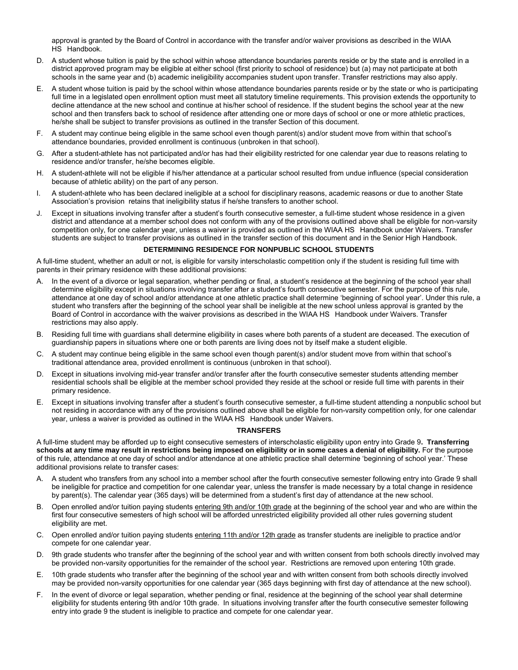approval is granted by the Board of Control in accordance with the transfer and/or waiver provisions as described in the WIAA HS Handbook.

- D. A student whose tuition is paid by the school within whose attendance boundaries parents reside or by the state and is enrolled in a district approved program may be eligible at either school (first priority to school of residence) but (a) may not participate at both schools in the same year and (b) academic ineligibility accompanies student upon transfer. Transfer restrictions may also apply.
- E. A student whose tuition is paid by the school within whose attendance boundaries parents reside or by the state or who is participating full time in a legislated open enrollment option must meet all statutory timeline requirements. This provision extends the opportunity to decline attendance at the new school and continue at his/her school of residence. If the student begins the school year at the new school and then transfers back to school of residence after attending one or more days of school or one or more athletic practices, he/she shall be subject to transfer provisions as outlined in the transfer Section of this document.
- F. A student may continue being eligible in the same school even though parent(s) and/or student move from within that school's attendance boundaries, provided enrollment is continuous (unbroken in that school).
- G. After a student-athlete has not participated and/or has had their eligibility restricted for one calendar year due to reasons relating to residence and/or transfer, he/she becomes eligible.
- H. A student-athlete will not be eligible if his/her attendance at a particular school resulted from undue influence (special consideration because of athletic ability) on the part of any person.
- I. A student-athlete who has been declared ineligible at a school for disciplinary reasons, academic reasons or due to another State Association's provision retains that ineligibility status if he/she transfers to another school.
- J. Except in situations involving transfer after a student's fourth consecutive semester, a full-time student whose residence in a given district and attendance at a member school does not conform with any of the provisions outlined above shall be eligible for non-varsity competition only, for one calendar year, unless a waiver is provided as outlined in the WIAA HS Handbook under Waivers. Transfer students are subject to transfer provisions as outlined in the transfer section of this document and in the Senior High Handbook.

## **DETERMINING RESIDENCE FOR NONPUBLIC SCHOOL STUDENTS**

A full-time student, whether an adult or not, is eligible for varsity interscholastic competition only if the student is residing full time with parents in their primary residence with these additional provisions:

- A. In the event of a divorce or legal separation, whether pending or final, a student's residence at the beginning of the school year shall determine eligibility except in situations involving transfer after a student's fourth consecutive semester. For the purpose of this rule, attendance at one day of school and/or attendance at one athletic practice shall determine 'beginning of school year'. Under this rule, a student who transfers after the beginning of the school year shall be ineligible at the new school unless approval is granted by the Board of Control in accordance with the waiver provisions as described in the WIAA HS Handbook under Waivers. Transfer restrictions may also apply.
- B. Residing full time with guardians shall determine eligibility in cases where both parents of a student are deceased. The execution of guardianship papers in situations where one or both parents are living does not by itself make a student eligible.
- C. A student may continue being eligible in the same school even though parent(s) and/or student move from within that school's traditional attendance area, provided enrollment is continuous (unbroken in that school).
- D. Except in situations involving mid-year transfer and/or transfer after the fourth consecutive semester students attending member residential schools shall be eligible at the member school provided they reside at the school or reside full time with parents in their primary residence.
- E. Except in situations involving transfer after a student's fourth consecutive semester, a full-time student attending a nonpublic school but not residing in accordance with any of the provisions outlined above shall be eligible for non-varsity competition only, for one calendar year, unless a waiver is provided as outlined in the WIAA HS Handbook under Waivers.

#### **TRANSFERS**

A full-time student may be afforded up to eight consecutive semesters of interscholastic eligibility upon entry into Grade 9**. Transferring schools at any time may result in restrictions being imposed on eligibility or in some cases a denial of eligibility.** For the purpose of this rule, attendance at one day of school and/or attendance at one athletic practice shall determine 'beginning of school year.' These additional provisions relate to transfer cases:

- A. A student who transfers from any school into a member school after the fourth consecutive semester following entry into Grade 9 shall be ineligible for practice and competition for one calendar year, unless the transfer is made necessary by a total change in residence by parent(s). The calendar year (365 days) will be determined from a student's first day of attendance at the new school.
- B. Open enrolled and/or tuition paying students entering 9th and/or 10th grade at the beginning of the school year and who are within the first four consecutive semesters of high school will be afforded unrestricted eligibility provided all other rules governing student eligibility are met.
- C. Open enrolled and/or tuition paying students entering 11th and/or 12th grade as transfer students are ineligible to practice and/or compete for one calendar year.
- D. 9th grade students who transfer after the beginning of the school year and with written consent from both schools directly involved may be provided non-varsity opportunities for the remainder of the school year. Restrictions are removed upon entering 10th grade.
- E. 10th grade students who transfer after the beginning of the school year and with written consent from both schools directly involved may be provided non-varsity opportunities for one calendar year (365 days beginning with first day of attendance at the new school).
- F. In the event of divorce or legal separation, whether pending or final, residence at the beginning of the school year shall determine eligibility for students entering 9th and/or 10th grade. In situations involving transfer after the fourth consecutive semester following entry into grade 9 the student is ineligible to practice and compete for one calendar year.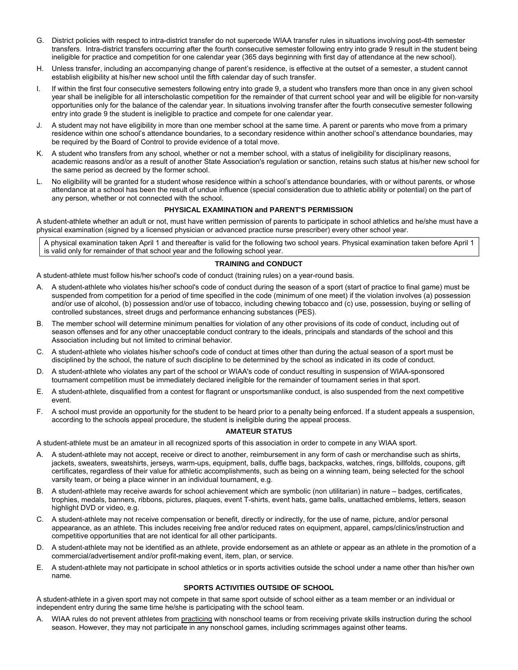- G. District policies with respect to intra-district transfer do not supercede WIAA transfer rules in situations involving post-4th semester transfers. Intra-district transfers occurring after the fourth consecutive semester following entry into grade 9 result in the student being ineligible for practice and competition for one calendar year (365 days beginning with first day of attendance at the new school).
- H. Unless transfer, including an accompanying change of parent's residence, is effective at the outset of a semester, a student cannot establish eligibility at his/her new school until the fifth calendar day of such transfer.
- I. If within the first four consecutive semesters following entry into grade 9, a student who transfers more than once in any given school year shall be ineligible for all interscholastic competition for the remainder of that current school year and will be eligible for non-varsity opportunities only for the balance of the calendar year. In situations involving transfer after the fourth consecutive semester following entry into grade 9 the student is ineligible to practice and compete for one calendar year.
- J. A student may not have eligibility in more than one member school at the same time. A parent or parents who move from a primary residence within one school's attendance boundaries, to a secondary residence within another school's attendance boundaries, may be required by the Board of Control to provide evidence of a total move.
- K. A student who transfers from any school, whether or not a member school, with a status of ineligibility for disciplinary reasons, academic reasons and/or as a result of another State Association's regulation or sanction, retains such status at his/her new school for the same period as decreed by the former school.
- L. No eligibility will be granted for a student whose residence within a school's attendance boundaries, with or without parents, or whose attendance at a school has been the result of undue influence (special consideration due to athletic ability or potential) on the part of any person, whether or not connected with the school.

## **PHYSICAL EXAMINATION and PARENT'S PERMISSION**

A student-athlete whether an adult or not, must have written permission of parents to participate in school athletics and he/she must have a physical examination (signed by a licensed physician or advanced practice nurse prescriber) every other school year.

A physical examination taken April 1 and thereafter is valid for the following two school years. Physical examination taken before April 1 is valid only for remainder of that school year and the following school year.

#### **TRAINING and CONDUCT**

A student-athlete must follow his/her school's code of conduct (training rules) on a year-round basis.

- A. A student-athlete who violates his/her school's code of conduct during the season of a sport (start of practice to final game) must be suspended from competition for a period of time specified in the code (minimum of one meet) if the violation involves (a) possession and/or use of alcohol, (b) possession and/or use of tobacco, including chewing tobacco and (c) use, possession, buying or selling of controlled substances, street drugs and performance enhancing substances (PES).
- B. The member school will determine minimum penalties for violation of any other provisions of its code of conduct, including out of season offenses and for any other unacceptable conduct contrary to the ideals, principals and standards of the school and this Association including but not limited to criminal behavior.
- C. A student-athlete who violates his/her school's code of conduct at times other than during the actual season of a sport must be disciplined by the school, the nature of such discipline to be determined by the school as indicated in its code of conduct.
- D. A student-athlete who violates any part of the school or WIAA's code of conduct resulting in suspension of WIAA-sponsored tournament competition must be immediately declared ineligible for the remainder of tournament series in that sport.
- E. A student-athlete, disqualified from a contest for flagrant or unsportsmanlike conduct, is also suspended from the next competitive event.
- F. A school must provide an opportunity for the student to be heard prior to a penalty being enforced. If a student appeals a suspension, according to the schools appeal procedure, the student is ineligible during the appeal process.

## **AMATEUR STATUS**

A student-athlete must be an amateur in all recognized sports of this association in order to compete in any WIAA sport.

- A. A student-athlete may not accept, receive or direct to another, reimbursement in any form of cash or merchandise such as shirts, jackets, sweaters, sweatshirts, jerseys, warm-ups, equipment, balls, duffle bags, backpacks, watches, rings, billfolds, coupons, gift certificates, regardless of their value for athletic accomplishments, such as being on a winning team, being selected for the school varsity team, or being a place winner in an individual tournament, e.g.
- B. A student-athlete may receive awards for school achievement which are symbolic (non utilitarian) in nature badges, certificates, trophies, medals, banners, ribbons, pictures, plaques, event T-shirts, event hats, game balls, unattached emblems, letters, season highlight DVD or video, e.g.
- C. A student-athlete may not receive compensation or benefit, directly or indirectly, for the use of name, picture, and/or personal appearance, as an athlete. This includes receiving free and/or reduced rates on equipment, apparel, camps/clinics/instruction and competitive opportunities that are not identical for all other participants.
- D. A student-athlete may not be identified as an athlete, provide endorsement as an athlete or appear as an athlete in the promotion of a commercial/advertisement and/or profit-making event, item, plan, or service.
- E. A student-athlete may not participate in school athletics or in sports activities outside the school under a name other than his/her own name.

## **SPORTS ACTIVITIES OUTSIDE OF SCHOOL**

A student-athlete in a given sport may not compete in that same sport outside of school either as a team member or an individual or independent entry during the same time he/she is participating with the school team.

A. WIAA rules do not prevent athletes from practicing with nonschool teams or from receiving private skills instruction during the school season. However, they may not participate in any nonschool games, including scrimmages against other teams.